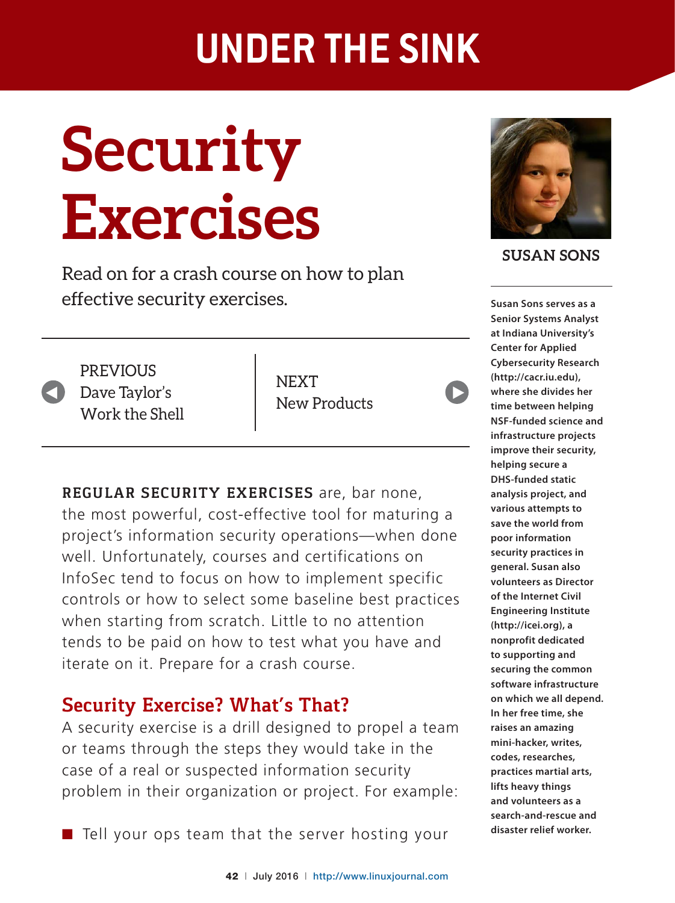# **Security Exercises**

Read on for a crash course on how to plan effective security exercises.



**PREVIOUS** Dave Taylor's Work the Shell

**NEXT** New Products



# **Security Exercise? What's That?**

A security exercise is a drill designed to propel a team or teams through the steps they would take in the case of a real or suspected information security problem in their organization or project. For example:

 $\blacksquare$  Tell your ops team that the server hosting your



**SUSAN SONS**

 $\blacktriangleright$ 

**Susan Sons serves as a Senior Systems Analyst at Indiana University's Center for Applied Cybersecurity Research (http://cacr.iu.edu), where she divides her time between helping NSF-funded science and infrastructure projects improve their security, helping secure a DHS-funded static analysis project, and various attempts to save the world from poor information security practices in general. Susan also volunteers as Director of the Internet Civil Engineering Institute (http://icei.org), a nonprofit dedicated to supporting and securing the common software infrastructure on which we all depend. In her free time, she raises an amazing mini-hacker, writes, codes, researches, practices martial arts, lifts heavy things and volunteers as a search-and-rescue and disaster relief worker.**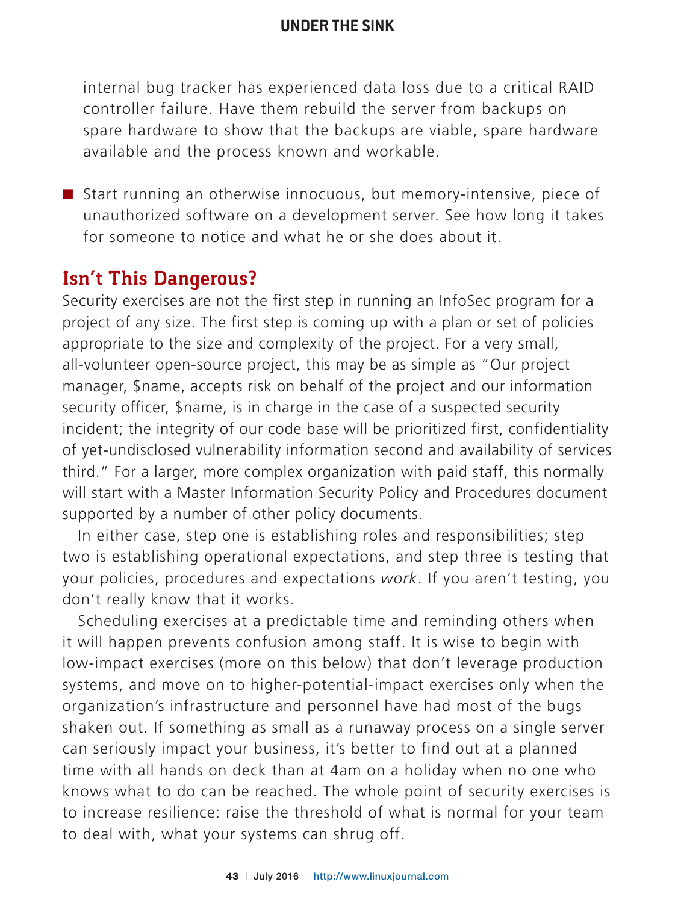internal bug tracker has experienced data loss due to a critical RAID controller failure. Have them rebuild the server from backups on spare hardware to show that the backups are viable, spare hardware available and the process known and workable.

■ Start running an otherwise innocuous, but memory-intensive, piece of unauthorized software on a development server. See how long it takes for someone to notice and what he or she does about it.

# **Isn't This Dangerous?**

Security exercises are not the first step in running an InfoSec program for a project of any size. The first step is coming up with a plan or set of policies appropriate to the size and complexity of the project. For a very small, all-volunteer open-source project, this may be as simple as "Our project manager, \$name, accepts risk on behalf of the project and our information security officer, \$name, is in charge in the case of a suspected security incident; the integrity of our code base will be prioritized first, confidentiality of yet-undisclosed vulnerability information second and availability of services third." For a larger, more complex organization with paid staff, this normally will start with a Master Information Security Policy and Procedures document supported by a number of other policy documents.

In either case, step one is establishing roles and responsibilities; step two is establishing operational expectations, and step three is testing that your policies, procedures and expectations *work*. If you aren't testing, you don't really know that it works.

Scheduling exercises at a predictable time and reminding others when it will happen prevents confusion among staff. It is wise to begin with low-impact exercises (more on this below) that don't leverage production systems, and move on to higher-potential-impact exercises only when the organization's infrastructure and personnel have had most of the bugs shaken out. If something as small as a runaway process on a single server can seriously impact your business, it's better to find out at a planned time with all hands on deck than at 4am on a holiday when no one who knows what to do can be reached. The whole point of security exercises is to increase resilience: raise the threshold of what is normal for your team to deal with, what your systems can shrug off.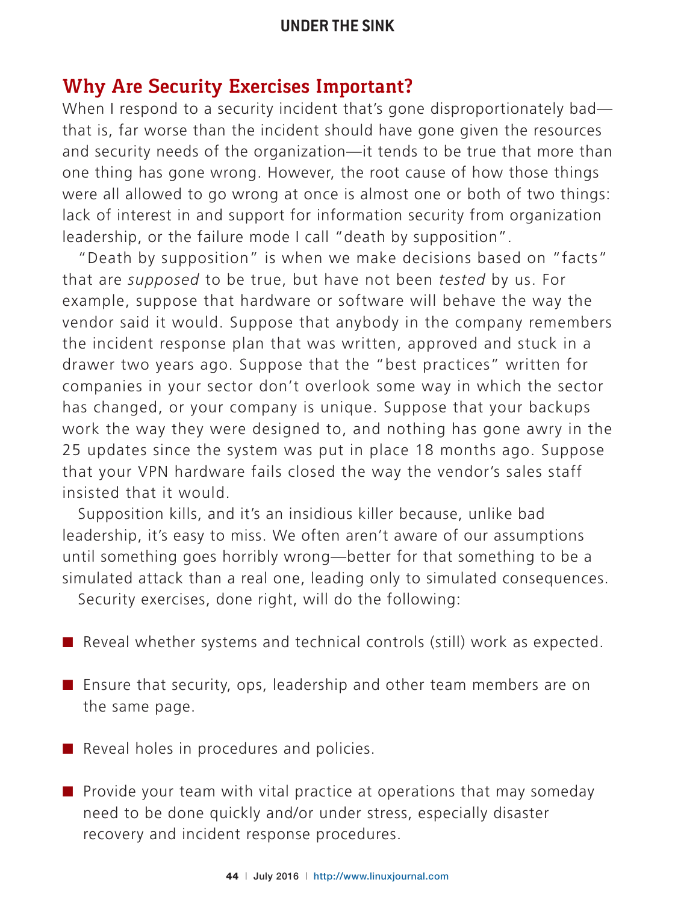# **Why Are Security Exercises Important?**

When I respond to a security incident that's gone disproportionately bad that is, far worse than the incident should have gone given the resources and security needs of the organization—it tends to be true that more than one thing has gone wrong. However, the root cause of how those things were all allowed to go wrong at once is almost one or both of two things: lack of interest in and support for information security from organization leadership, or the failure mode I call "death by supposition".

"Death by supposition" is when we make decisions based on "facts" that are *supposed* to be true, but have not been *tested* by us. For example, suppose that hardware or software will behave the way the vendor said it would. Suppose that anybody in the company remembers the incident response plan that was written, approved and stuck in a drawer two years ago. Suppose that the "best practices" written for companies in your sector don't overlook some way in which the sector has changed, or your company is unique. Suppose that your backups work the way they were designed to, and nothing has gone awry in the 25 updates since the system was put in place 18 months ago. Suppose that your VPN hardware fails closed the way the vendor's sales staff insisted that it would.

Supposition kills, and it's an insidious killer because, unlike bad leadership, it's easy to miss. We often aren't aware of our assumptions until something goes horribly wrong—better for that something to be a simulated attack than a real one, leading only to simulated consequences.

Security exercises, done right, will do the following:

- Reveal whether systems and technical controls (still) work as expected.
- Ensure that security, ops, leadership and other team members are on the same page.
- $\blacksquare$  Reveal holes in procedures and policies.
- $\blacksquare$  Provide your team with vital practice at operations that may someday need to be done quickly and/or under stress, especially disaster recovery and incident response procedures.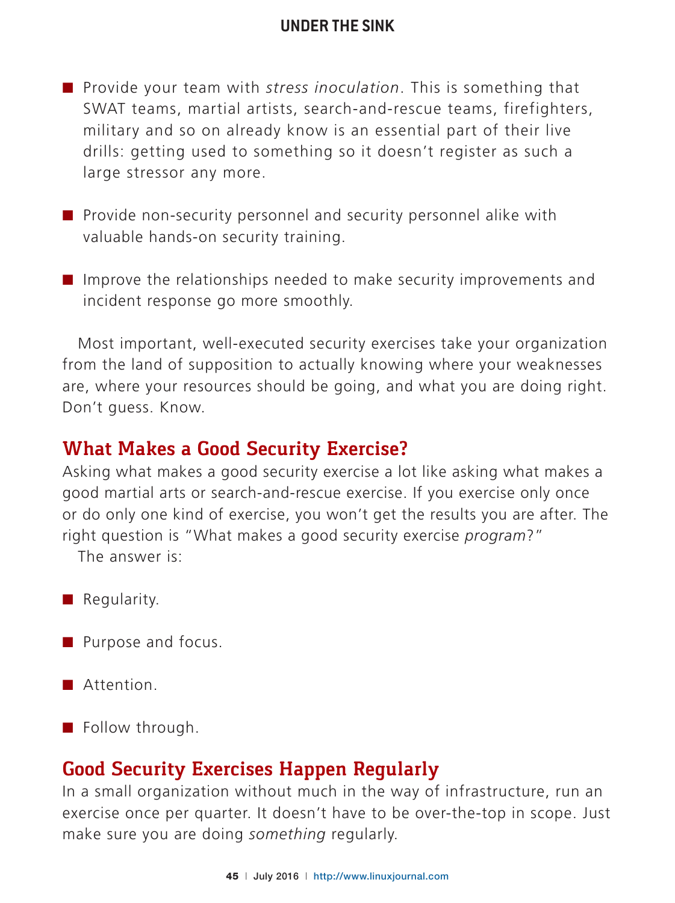- Provide your team with *stress inoculation*. This is something that SWAT teams, martial artists, search-and-rescue teams, firefighters, military and so on already know is an essential part of their live drills: getting used to something so it doesn't register as such a large stressor any more.
- $\blacksquare$  Provide non-security personnel and security personnel alike with valuable hands-on security training.
- $\blacksquare$  Improve the relationships needed to make security improvements and incident response go more smoothly.

Most important, well-executed security exercises take your organization from the land of supposition to actually knowing where your weaknesses are, where your resources should be going, and what you are doing right. Don't guess. Know.

#### **What Makes a Good Security Exercise?**

Asking what makes a good security exercise a lot like asking what makes a good martial arts or search-and-rescue exercise. If you exercise only once or do only one kind of exercise, you won't get the results you are after. The right question is "What makes a good security exercise *program*?"

The answer is:

- $\blacksquare$  Regularity.
- **Purpose and focus.**
- Attention.
- $\blacksquare$  Follow through.

# **Good Security Exercises Happen Regularly**

In a small organization without much in the way of infrastructure, run an exercise once per quarter. It doesn't have to be over-the-top in scope. Just make sure you are doing *something* regularly.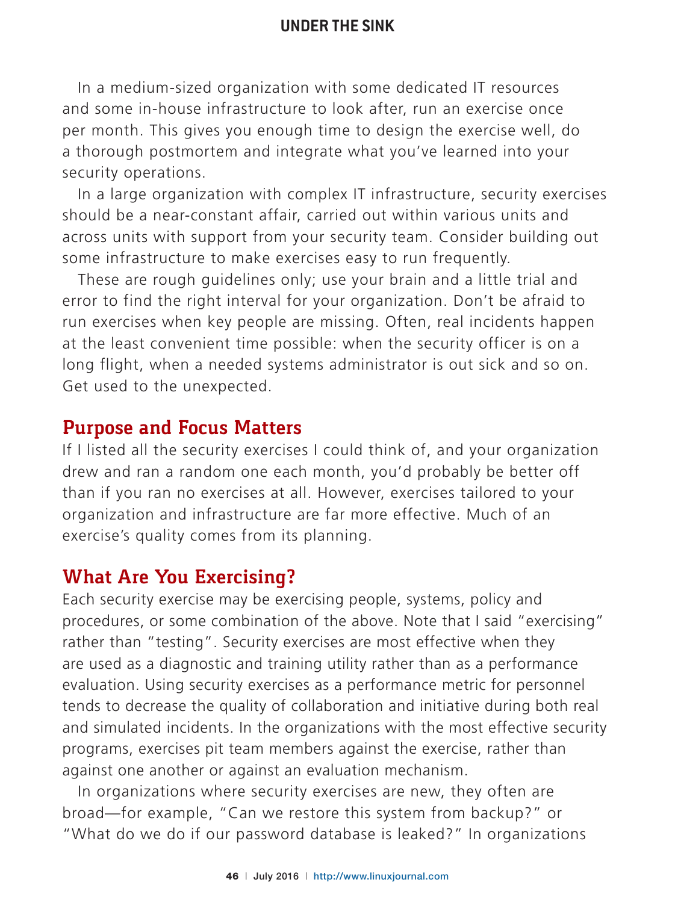In a medium-sized organization with some dedicated IT resources and some in-house infrastructure to look after, run an exercise once per month. This gives you enough time to design the exercise well, do a thorough postmortem and integrate what you've learned into your security operations.

In a large organization with complex IT infrastructure, security exercises should be a near-constant affair, carried out within various units and across units with support from your security team. Consider building out some infrastructure to make exercises easy to run frequently.

These are rough guidelines only; use your brain and a little trial and error to find the right interval for your organization. Don't be afraid to run exercises when key people are missing. Often, real incidents happen at the least convenient time possible: when the security officer is on a long flight, when a needed systems administrator is out sick and so on. Get used to the unexpected.

#### **Purpose and Focus Matters**

If I listed all the security exercises I could think of, and your organization drew and ran a random one each month, you'd probably be better off than if you ran no exercises at all. However, exercises tailored to your organization and infrastructure are far more effective. Much of an exercise's quality comes from its planning.

# **What Are You Exercising?**

Each security exercise may be exercising people, systems, policy and procedures, or some combination of the above. Note that I said "exercising" rather than "testing". Security exercises are most effective when they are used as a diagnostic and training utility rather than as a performance evaluation. Using security exercises as a performance metric for personnel tends to decrease the quality of collaboration and initiative during both real and simulated incidents. In the organizations with the most effective security programs, exercises pit team members against the exercise, rather than against one another or against an evaluation mechanism.

In organizations where security exercises are new, they often are broad—for example, "Can we restore this system from backup?" or "What do we do if our password database is leaked?" In organizations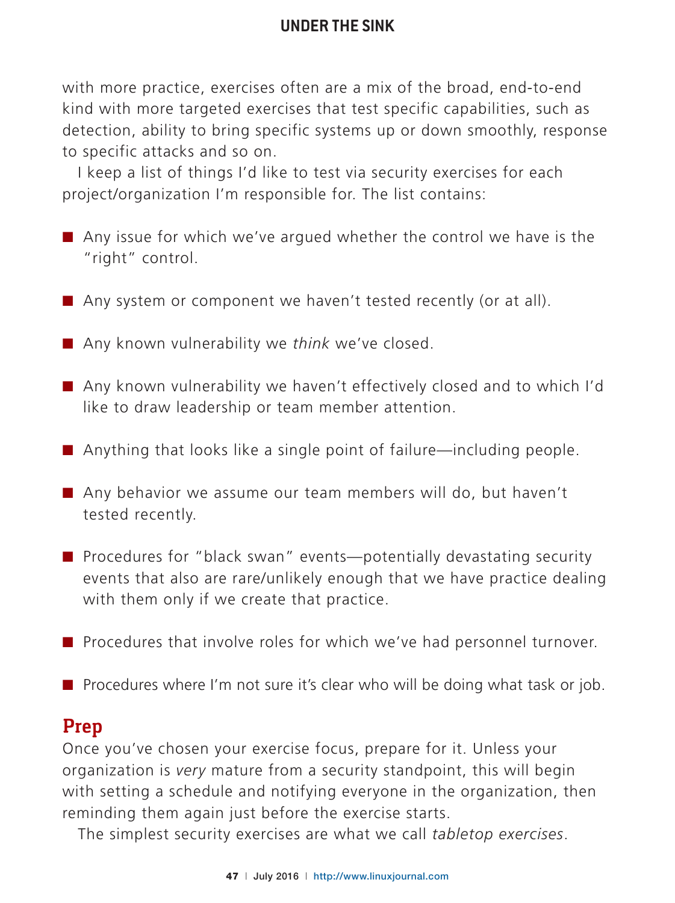with more practice, exercises often are a mix of the broad, end-to-end kind with more targeted exercises that test specific capabilities, such as detection, ability to bring specific systems up or down smoothly, response to specific attacks and so on.

I keep a list of things I'd like to test via security exercises for each project/organization I'm responsible for. The list contains:

- $\blacksquare$  Any issue for which we've argued whether the control we have is the "right" control.
- Any system or component we haven't tested recently (or at all).
- Any known vulnerability we *think* we've closed.
- Any known vulnerability we haven't effectively closed and to which I'd like to draw leadership or team member attention.
- $\blacksquare$  Anything that looks like a single point of failure—including people.
- Any behavior we assume our team members will do, but haven't tested recently.
- Procedures for "black swan" events—potentially devastating security events that also are rare/unlikely enough that we have practice dealing with them only if we create that practice.
- Procedures that involve roles for which we've had personnel turnover.
- Procedures where I'm not sure it's clear who will be doing what task or job.

# **Prep**

Once you've chosen your exercise focus, prepare for it. Unless your organization is *very* mature from a security standpoint, this will begin with setting a schedule and notifying everyone in the organization, then reminding them again just before the exercise starts.

The simplest security exercises are what we call *tabletop exercises*.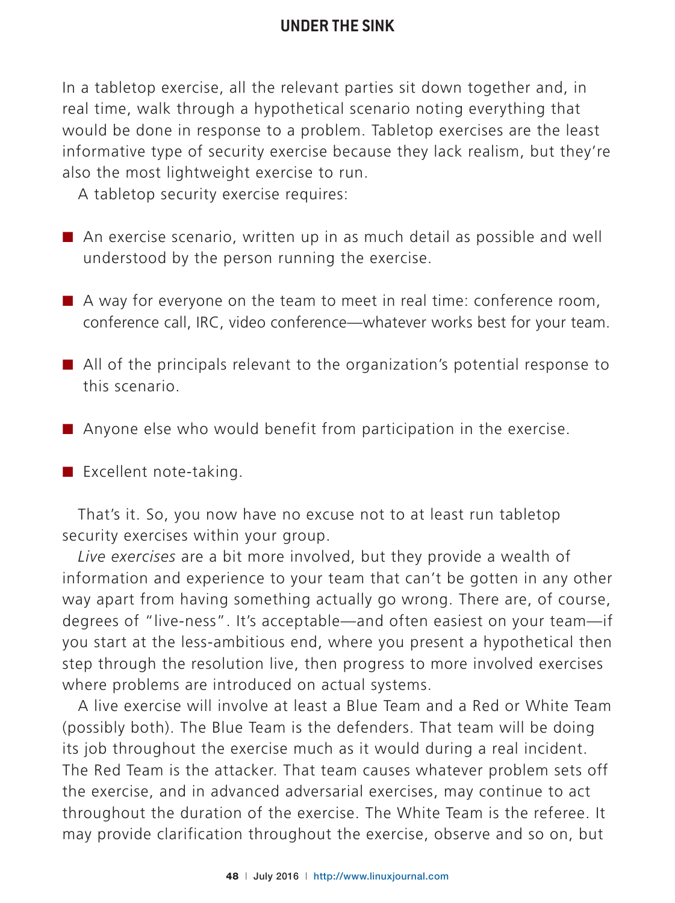In a tabletop exercise, all the relevant parties sit down together and, in real time, walk through a hypothetical scenario noting everything that would be done in response to a problem. Tabletop exercises are the least informative type of security exercise because they lack realism, but they're also the most lightweight exercise to run.

A tabletop security exercise requires:

- $\blacksquare$  An exercise scenario, written up in as much detail as possible and well understood by the person running the exercise.
- $\blacksquare$  A way for everyone on the team to meet in real time: conference room, conference call, IRC, video conference—whatever works best for your team.
- $\blacksquare$  All of the principals relevant to the organization's potential response to this scenario.
- $\blacksquare$  Anyone else who would benefit from participation in the exercise.
- $\blacksquare$  Excellent note-taking.

That's it. So, you now have no excuse not to at least run tabletop security exercises within your group.

*Live exercises* are a bit more involved, but they provide a wealth of information and experience to your team that can't be gotten in any other way apart from having something actually go wrong. There are, of course, degrees of "live-ness". It's acceptable—and often easiest on your team—if you start at the less-ambitious end, where you present a hypothetical then step through the resolution live, then progress to more involved exercises where problems are introduced on actual systems.

A live exercise will involve at least a Blue Team and a Red or White Team (possibly both). The Blue Team is the defenders. That team will be doing its job throughout the exercise much as it would during a real incident. The Red Team is the attacker. That team causes whatever problem sets off the exercise, and in advanced adversarial exercises, may continue to act throughout the duration of the exercise. The White Team is the referee. It may provide clarification throughout the exercise, observe and so on, but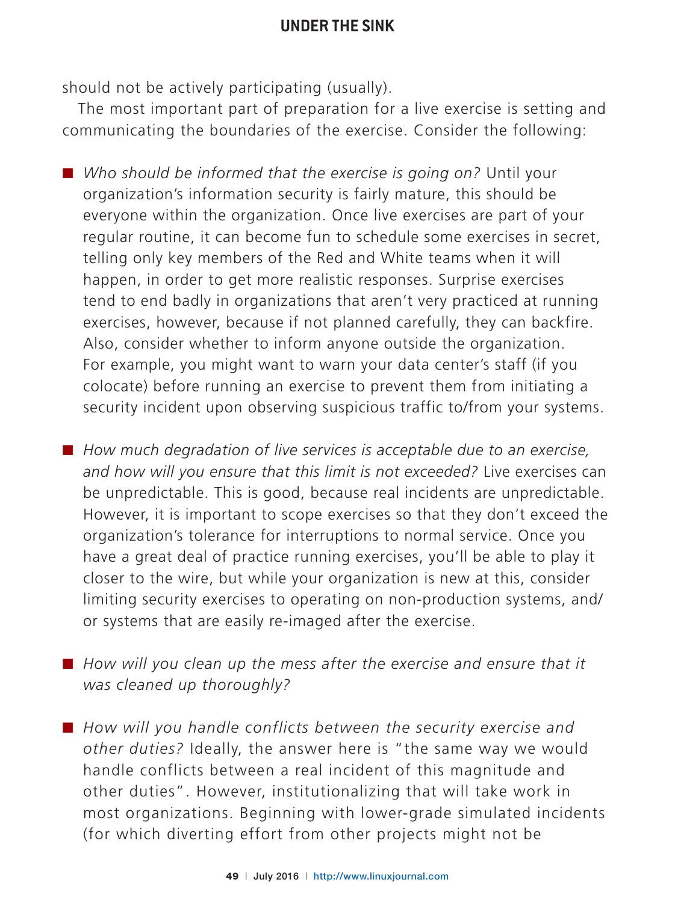should not be actively participating (usually).

The most important part of preparation for a live exercise is setting and communicating the boundaries of the exercise. Consider the following:

■ Who should be informed that the exercise is going on? Until your organization's information security is fairly mature, this should be everyone within the organization. Once live exercises are part of your regular routine, it can become fun to schedule some exercises in secret, telling only key members of the Red and White teams when it will happen, in order to get more realistic responses. Surprise exercises tend to end badly in organizations that aren't very practiced at running exercises, however, because if not planned carefully, they can backfire. Also, consider whether to inform anyone outside the organization. For example, you might want to warn your data center's staff (if you colocate) before running an exercise to prevent them from initiating a security incident upon observing suspicious traffic to/from your systems.

■ How much degradation of live services is acceptable due to an exercise, *and how will you ensure that this limit is not exceeded?* Live exercises can be unpredictable. This is good, because real incidents are unpredictable. However, it is important to scope exercises so that they don't exceed the organization's tolerance for interruptions to normal service. Once you have a great deal of practice running exercises, you'll be able to play it closer to the wire, but while your organization is new at this, consider limiting security exercises to operating on non-production systems, and/ or systems that are easily re-imaged after the exercise.

■ How will you clean up the mess after the exercise and ensure that it *was cleaned up thoroughly?*

■ How will you handle conflicts between the security exercise and *other duties?* Ideally, the answer here is "the same way we would handle conflicts between a real incident of this magnitude and other duties". However, institutionalizing that will take work in most organizations. Beginning with lower-grade simulated incidents (for which diverting effort from other projects might not be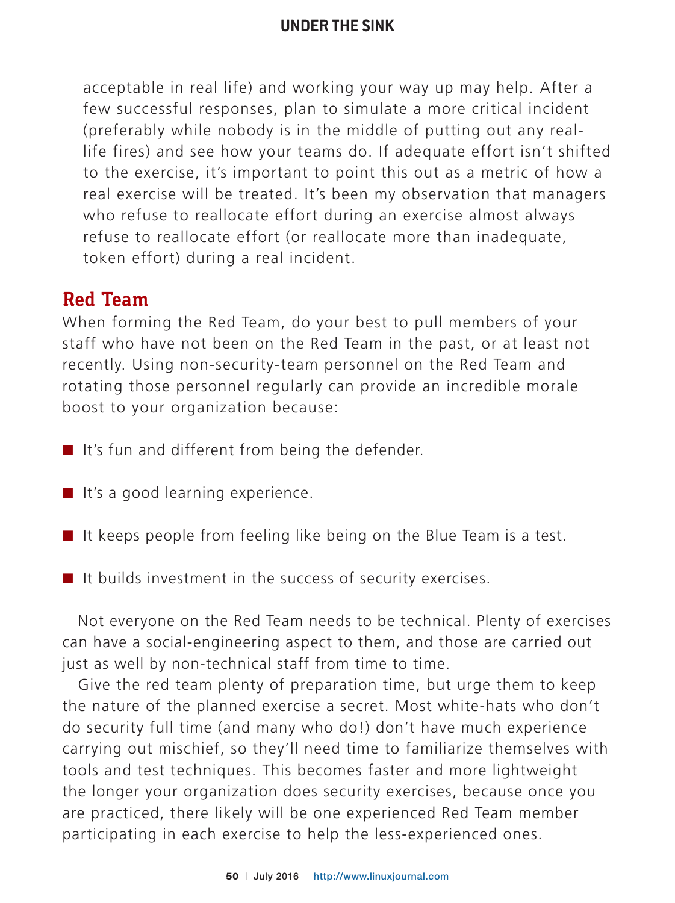acceptable in real life) and working your way up may help. After a few successful responses, plan to simulate a more critical incident (preferably while nobody is in the middle of putting out any reallife fires) and see how your teams do. If adequate effort isn't shifted to the exercise, it's important to point this out as a metric of how a real exercise will be treated. It's been my observation that managers who refuse to reallocate effort during an exercise almost always refuse to reallocate effort (or reallocate more than inadequate, token effort) during a real incident.

#### **Red Team**

When forming the Red Team, do your best to pull members of your staff who have not been on the Red Team in the past, or at least not recently. Using non-security-team personnel on the Red Team and rotating those personnel regularly can provide an incredible morale boost to your organization because:

- $\blacksquare$  It's fun and different from being the defender.
- $\blacksquare$  It's a good learning experience.
- $\blacksquare$  It keeps people from feeling like being on the Blue Team is a test.
- $\blacksquare$  It builds investment in the success of security exercises.

Not everyone on the Red Team needs to be technical. Plenty of exercises can have a social-engineering aspect to them, and those are carried out just as well by non-technical staff from time to time.

Give the red team plenty of preparation time, but urge them to keep the nature of the planned exercise a secret. Most white-hats who don't do security full time (and many who do!) don't have much experience carrying out mischief, so they'll need time to familiarize themselves with tools and test techniques. This becomes faster and more lightweight the longer your organization does security exercises, because once you are practiced, there likely will be one experienced Red Team member participating in each exercise to help the less-experienced ones.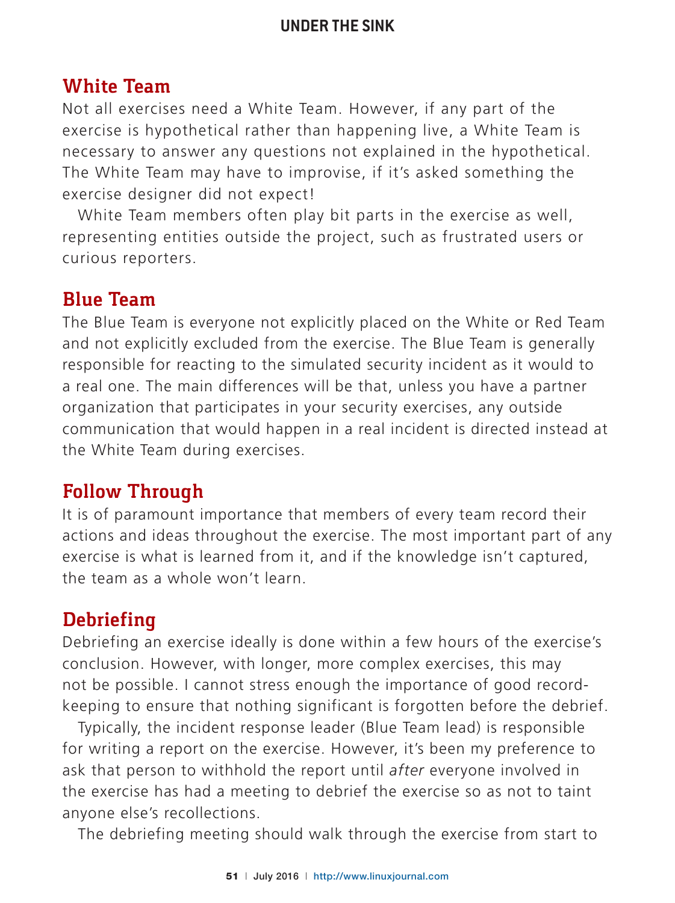# **White Team**

Not all exercises need a White Team. However, if any part of the exercise is hypothetical rather than happening live, a White Team is necessary to answer any questions not explained in the hypothetical. The White Team may have to improvise, if it's asked something the exercise designer did not expect!

White Team members often play bit parts in the exercise as well, representing entities outside the project, such as frustrated users or curious reporters.

#### **Blue Team**

The Blue Team is everyone not explicitly placed on the White or Red Team and not explicitly excluded from the exercise. The Blue Team is generally responsible for reacting to the simulated security incident as it would to a real one. The main differences will be that, unless you have a partner organization that participates in your security exercises, any outside communication that would happen in a real incident is directed instead at the White Team during exercises.

# **Follow Through**

It is of paramount importance that members of every team record their actions and ideas throughout the exercise. The most important part of any exercise is what is learned from it, and if the knowledge isn't captured, the team as a whole won't learn.

# **Debriefing**

Debriefing an exercise ideally is done within a few hours of the exercise's conclusion. However, with longer, more complex exercises, this may not be possible. I cannot stress enough the importance of good recordkeeping to ensure that nothing significant is forgotten before the debrief.

Typically, the incident response leader (Blue Team lead) is responsible for writing a report on the exercise. However, it's been my preference to ask that person to withhold the report until *after* everyone involved in the exercise has had a meeting to debrief the exercise so as not to taint anyone else's recollections.

The debriefing meeting should walk through the exercise from start to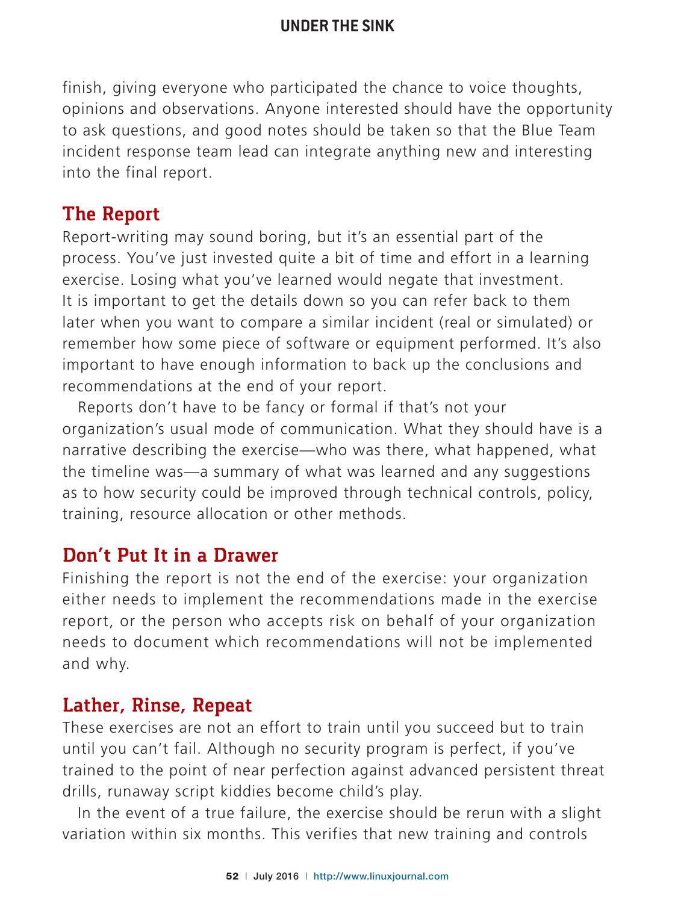finish, giving everyone who participated the chance to voice thoughts, opinions and observations. Anyone interested should have the opportunity to ask questions, and good notes should be taken so that the Blue Team incident response team lead can integrate anything new and interesting into the final report.

# **The Report**

Report-writing may sound boring, but it's an essential part of the process. You've just invested quite a bit of time and effort in a learning exercise. Losing what you've learned would negate that investment. It is important to get the details down so you can refer back to them later when you want to compare a similar incident (real or simulated) or remember how some piece of software or equipment performed. It's also important to have enough information to back up the conclusions and recommendations at the end of your report.

Reports don't have to be fancy or formal if that's not your organization's usual mode of communication. What they should have is a narrative describing the exercise—who was there, what happened, what the timeline was—a summary of what was learned and any suggestions as to how security could be improved through technical controls, policy, training, resource allocation or other methods.

# **Don't Put It in a Drawer**

Finishing the report is not the end of the exercise: your organization either needs to implement the recommendations made in the exercise report, or the person who accepts risk on behalf of your organization needs to document which recommendations will not be implemented and why.

# **Lather, Rinse, Repeat**

These exercises are not an effort to train until you succeed but to train until you can't fail. Although no security program is perfect, if you've trained to the point of near perfection against advanced persistent threat drills, runaway script kiddies become child's play.

In the event of a true failure, the exercise should be rerun with a slight variation within six months. This verifies that new training and controls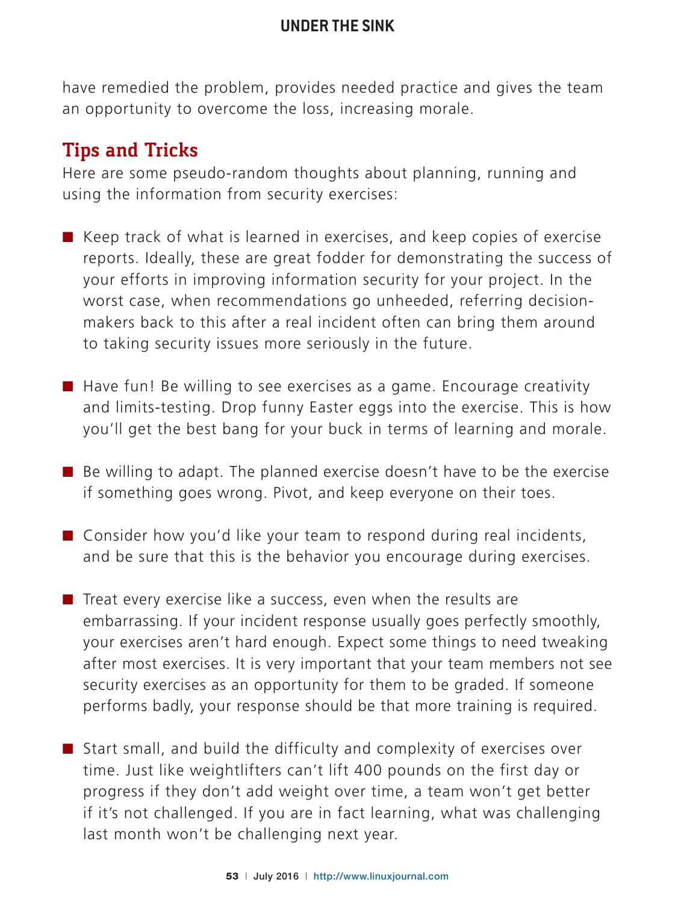have remedied the problem, provides needed practice and gives the team an opportunity to overcome the loss, increasing morale.

# **Tips and Tricks**

Here are some pseudo-random thoughts about planning, running and using the information from security exercises:

- $\blacksquare$  Keep track of what is learned in exercises, and keep copies of exercise reports. Ideally, these are great fodder for demonstrating the success of your efforts in improving information security for your project. In the worst case, when recommendations go unheeded, referring decisionmakers back to this after a real incident often can bring them around to taking security issues more seriously in the future.
- $\blacksquare$  Have fun! Be willing to see exercises as a game. Encourage creativity and limits-testing. Drop funny Easter eggs into the exercise. This is how you'll get the best bang for your buck in terms of learning and morale.
- $\blacksquare$  Be willing to adapt. The planned exercise doesn't have to be the exercise if something goes wrong. Pivot, and keep everyone on their toes.
- $\blacksquare$  Consider how you'd like your team to respond during real incidents, and be sure that this is the behavior you encourage during exercises.
- $\blacksquare$  Treat every exercise like a success, even when the results are embarrassing. If your incident response usually goes perfectly smoothly, your exercises aren't hard enough. Expect some things to need tweaking after most exercises. It is very important that your team members not see security exercises as an opportunity for them to be graded. If someone performs badly, your response should be that more training is required.
- $\blacksquare$  Start small, and build the difficulty and complexity of exercises over time. Just like weightlifters can't lift 400 pounds on the first day or progress if they don't add weight over time, a team won't get better if it's not challenged. If you are in fact learning, what was challenging last month won't be challenging next year.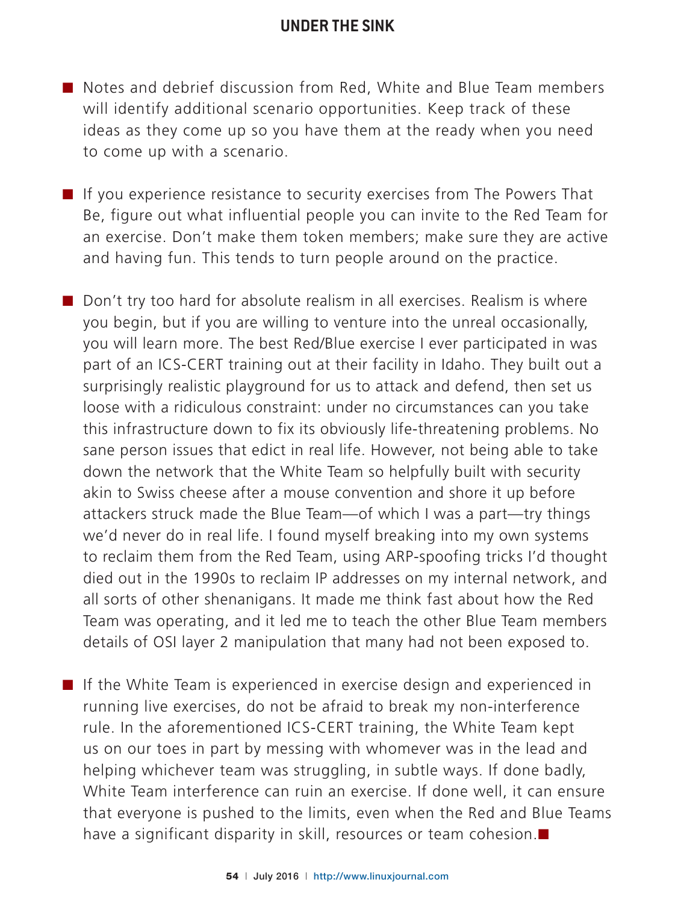- Notes and debrief discussion from Red, White and Blue Team members will identify additional scenario opportunities. Keep track of these ideas as they come up so you have them at the ready when you need to come up with a scenario.
- If you experience resistance to security exercises from The Powers That Be, figure out what influential people you can invite to the Red Team for an exercise. Don't make them token members; make sure they are active and having fun. This tends to turn people around on the practice.

 $\blacksquare$  Don't try too hard for absolute realism in all exercises. Realism is where you begin, but if you are willing to venture into the unreal occasionally, you will learn more. The best Red/Blue exercise I ever participated in was part of an ICS-CERT training out at their facility in Idaho. They built out a surprisingly realistic playground for us to attack and defend, then set us loose with a ridiculous constraint: under no circumstances can you take this infrastructure down to fix its obviously life-threatening problems. No sane person issues that edict in real life. However, not being able to take down the network that the White Team so helpfully built with security akin to Swiss cheese after a mouse convention and shore it up before attackers struck made the Blue Team—of which I was a part—try things we'd never do in real life. I found myself breaking into my own systems to reclaim them from the Red Team, using ARP-spoofing tricks I'd thought died out in the 1990s to reclaim IP addresses on my internal network, and all sorts of other shenanigans. It made me think fast about how the Red Team was operating, and it led me to teach the other Blue Team members details of OSI layer 2 manipulation that many had not been exposed to.

■ If the White Team is experienced in exercise design and experienced in running live exercises, do not be afraid to break my non-interference rule. In the aforementioned ICS-CERT training, the White Team kept us on our toes in part by messing with whomever was in the lead and helping whichever team was struggling, in subtle ways. If done badly, White Team interference can ruin an exercise. If done well, it can ensure that everyone is pushed to the limits, even when the Red and Blue Teams have a significant disparity in skill, resources or team cohesion. $\square$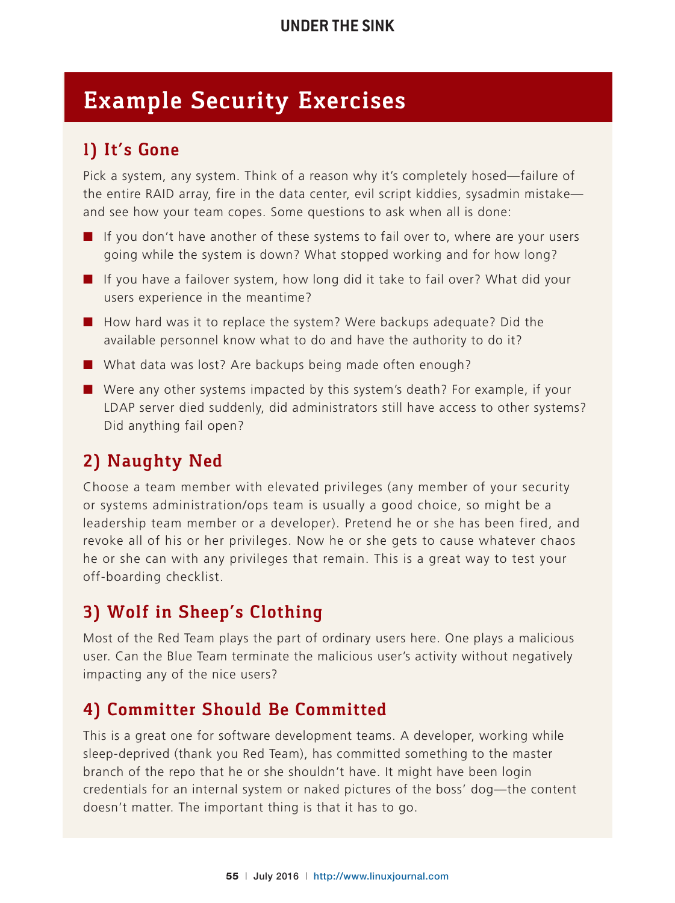# **Example Security Exercises**

# **1) It's Gone**

Pick a system, any system. Think of a reason why it's completely hosed—failure of the entire RAID array, fire in the data center, evil script kiddies, sysadmin mistake and see how your team copes. Some questions to ask when all is done:

- $\blacksquare$  If you don't have another of these systems to fail over to, where are your users going while the system is down? What stopped working and for how long?
- $\blacksquare$  If you have a failover system, how long did it take to fail over? What did your users experience in the meantime?
- How hard was it to replace the system? Were backups adequate? Did the available personnel know what to do and have the authority to do it?
- $\blacksquare$  What data was lost? Are backups being made often enough?
- $\blacksquare$  Were any other systems impacted by this system's death? For example, if your LDAP server died suddenly, did administrators still have access to other systems? Did anything fail open?

# **2) Naughty Ned**

Choose a team member with elevated privileges (any member of your security or systems administration/ops team is usually a good choice, so might be a leadership team member or a developer). Pretend he or she has been fired, and revoke all of his or her privileges. Now he or she gets to cause whatever chaos he or she can with any privileges that remain. This is a great way to test your off-boarding checklist.

# **3) Wolf in Sheep's Clothing**

Most of the Red Team plays the part of ordinary users here. One plays a malicious user. Can the Blue Team terminate the malicious user's activity without negatively impacting any of the nice users?

# **4) Committer Should Be Committed**

This is a great one for software development teams. A developer, working while sleep-deprived (thank you Red Team), has committed something to the master branch of the repo that he or she shouldn't have. It might have been login credentials for an internal system or naked pictures of the boss' dog—the content doesn't matter. The important thing is that it has to go.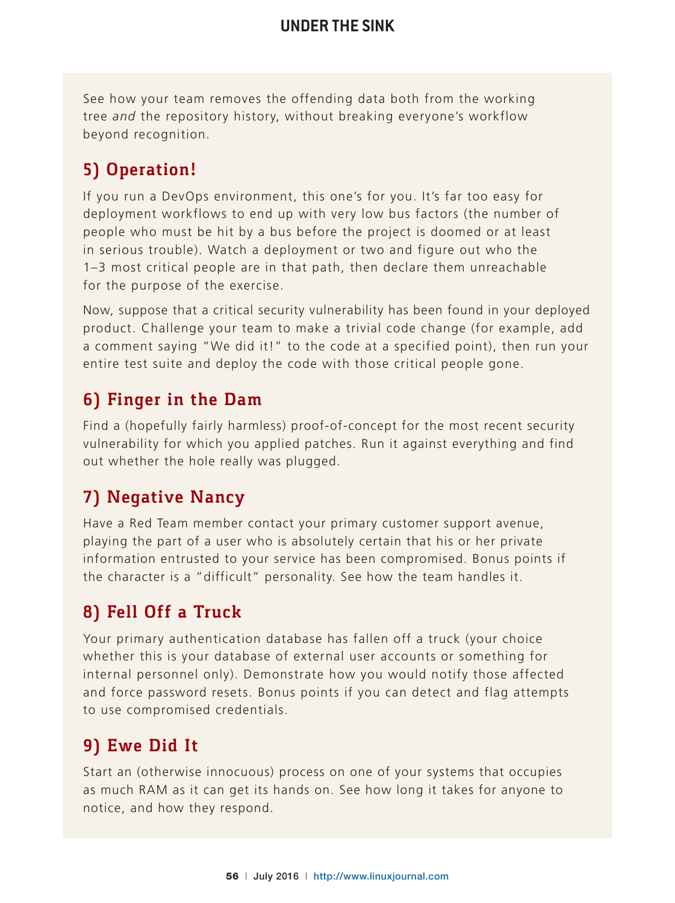See how your team removes the offending data both from the working tree *and* the repository history, without breaking everyone's workflow beyond recognition.

# **5) Operation!**

If you run a DevOps environment, this one's for you. It's far too easy for deployment workflows to end up with very low bus factors (the number of people who must be hit by a bus before the project is doomed or at least in serious trouble). Watch a deployment or two and figure out who the 1–3 most critical people are in that path, then declare them unreachable for the purpose of the exercise.

Now, suppose that a critical security vulnerability has been found in your deployed product. Challenge your team to make a trivial code change (for example, add a comment saying "We did it!" to the code at a specified point), then run your entire test suite and deploy the code with those critical people gone.

# **6) Finger in the Dam**

Find a (hopefully fairly harmless) proof-of-concept for the most recent security vulnerability for which you applied patches. Run it against everything and find out whether the hole really was plugged.

# **7) Negative Nancy**

Have a Red Team member contact your primary customer support avenue, playing the part of a user who is absolutely certain that his or her private information entrusted to your service has been compromised. Bonus points if the character is a "difficult" personality. See how the team handles it.

# **8) Fell Off a Truck**

Your primary authentication database has fallen off a truck (your choice whether this is your database of external user accounts or something for internal personnel only). Demonstrate how you would notify those affected and force password resets. Bonus points if you can detect and flag attempts to use compromised credentials.

# **9) Ewe Did It**

Start an (otherwise innocuous) process on one of your systems that occupies as much RAM as it can get its hands on. See how long it takes for anyone to notice, and how they respond.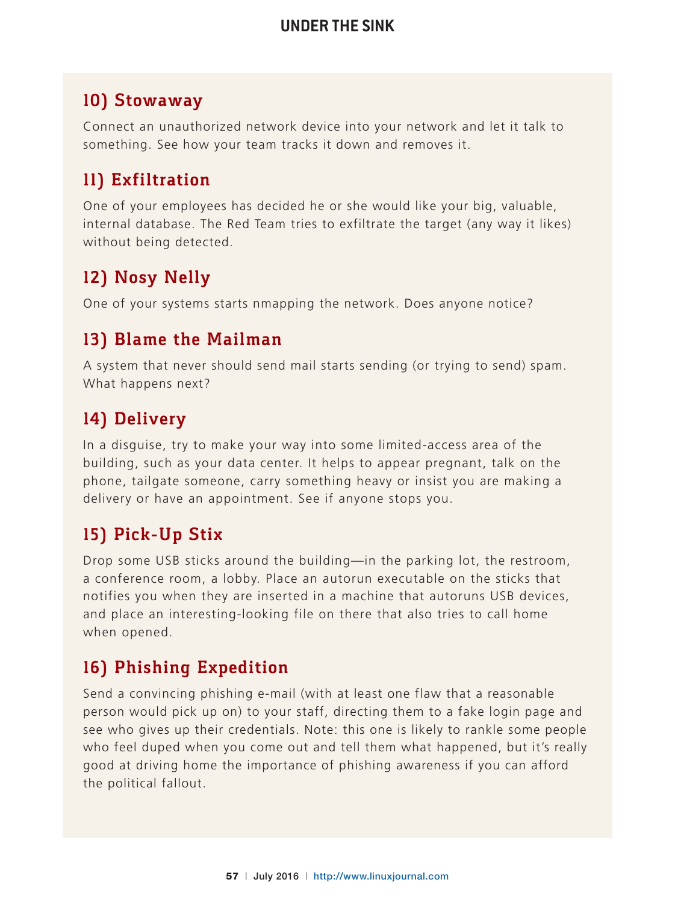#### **10) Stowaway**

Connect an unauthorized network device into your network and let it talk to something. See how your team tracks it down and removes it.

# **11) Exfiltration**

One of your employees has decided he or she would like your big, valuable, internal database. The Red Team tries to exfiltrate the target (any way it likes) without being detected.

# **12) Nosy Nelly**

One of your systems starts nmapping the network. Does anyone notice?

#### **13) Blame the Mailman**

A system that never should send mail starts sending (or trying to send) spam. What happens next?

# **14) Delivery**

In a disguise, try to make your way into some limited-access area of the building, such as your data center. It helps to appear pregnant, talk on the phone, tailgate someone, carry something heavy or insist you are making a delivery or have an appointment. See if anyone stops you.

# **15) Pick-Up Stix**

Drop some USB sticks around the building—in the parking lot, the restroom, a conference room, a lobby. Place an autorun executable on the sticks that notifies you when they are inserted in a machine that autoruns USB devices, and place an interesting-looking file on there that also tries to call home when opened.

# **16) Phishing Expedition**

Send a convincing phishing e-mail (with at least one flaw that a reasonable person would pick up on) to your staff, directing them to a fake login page and see who gives up their credentials. Note: this one is likely to rankle some people who feel duped when you come out and tell them what happened, but it's really good at driving home the importance of phishing awareness if you can afford the political fallout.